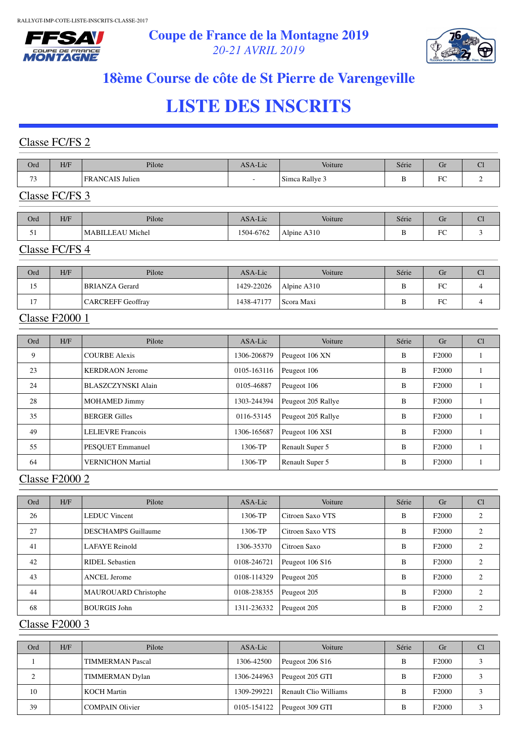



# **18ème Course de côte de St Pierre de Varengeville**

# **LISTE DES INSCRITS**

### Classe FC/FS 2

| Ord                                                  | H/F | Pilote                       | ASA-Lic                  | Voiture        | Série | Uľ            | $\sim$ |
|------------------------------------------------------|-----|------------------------------|--------------------------|----------------|-------|---------------|--------|
| $\overline{\phantom{a}}$<br>$\overline{\phantom{a}}$ |     | 'AIS Julien<br><b>FRANCA</b> | $\overline{\phantom{a}}$ | Simca Rallye 3 | -     | $\Gamma$<br>◡ |        |

### Classe FC/FS 3

| Ord | H/F | Pilote           | ASA-Lic   | <b>Voiture</b> | Série | Gr                    | $\tilde{}$ |
|-----|-----|------------------|-----------|----------------|-------|-----------------------|------------|
| ◡   |     | MABILLEAU Michel | 1504-6762 | Alpine A310    |       | D <sub>O</sub><br>1 U |            |

#### Classe FC/FS 4

| Ord            | H/F | Pilote                   | ASA-Lic    | Voiture     | Série | Gr | U |
|----------------|-----|--------------------------|------------|-------------|-------|----|---|
| 15             |     | <b>BRIANZA Gerard</b>    | 1429-22026 | Alpine A310 |       | FC |   |
| 1 <sub>7</sub> |     | <b>CARCREFF Geoffray</b> | 1438-47177 | Scora Maxi  | D     | FC |   |

### Classe F2000 1

| Ord | H/F | Pilote                   | ASA-Lic     | Voiture            | Série | Gr                | Cl |
|-----|-----|--------------------------|-------------|--------------------|-------|-------------------|----|
| 9   |     | <b>COURBE Alexis</b>     | 1306-206879 | Peugeot 106 XN     | B     | F <sub>2000</sub> |    |
| 23  |     | <b>KERDRAON Jerome</b>   | 0105-163116 | Peugeot 106        | B     | F <sub>2000</sub> |    |
| 24  |     | BLASZCZYNSKI Alain       | 0105-46887  | Peugeot 106        | B     | F <sub>2000</sub> |    |
| 28  |     | <b>MOHAMED Jimmy</b>     | 1303-244394 | Peugeot 205 Rallye | B     | F <sub>2000</sub> |    |
| 35  |     | <b>BERGER Gilles</b>     | 0116-53145  | Peugeot 205 Rallye | B     | F <sub>2000</sub> |    |
| 49  |     | <b>LELIEVRE Francois</b> | 1306-165687 | Peugeot 106 XSI    | B     | F <sub>2000</sub> |    |
| 55  |     | <b>PESOUET</b> Emmanuel  | 1306-TP     | Renault Super 5    | B     | F <sub>2000</sub> |    |
| 64  |     | <b>VERNICHON Martial</b> | 1306-TP     | Renault Super 5    | B     | F <sub>2000</sub> |    |

#### Classe F2000 2

| Ord | H/F | Pilote                      | ASA-Lic     | Voiture          | Série | Gr                | Cl |
|-----|-----|-----------------------------|-------------|------------------|-------|-------------------|----|
| 26  |     | <b>LEDUC</b> Vincent        | 1306-TP     | Citroen Saxo VTS | B     | F <sub>2000</sub> |    |
| 27  |     | <b>DESCHAMPS</b> Guillaume  | 1306-TP     | Citroen Saxo VTS | B     | F <sub>2000</sub> |    |
| 41  |     | LAFAYE Reinold              | 1306-35370  | Citroen Saxo     | B     | F <sub>2000</sub> |    |
| 42  |     | RIDEL Sebastien             | 0108-246721 | Peugeot 106 S16  | B     | F <sub>2000</sub> |    |
| 43  |     | <b>ANCEL Jerome</b>         | 0108-114329 | Peugeot 205      | B     | F <sub>2000</sub> |    |
| 44  |     | <b>MAUROUARD Christophe</b> | 0108-238355 | Peugeot 205      | B     | F <sub>2000</sub> |    |
| 68  |     | <b>BOURGIS John</b>         | 1311-236332 | Peugeot 205      | B     | F <sub>2000</sub> |    |

#### Classe F2000 3

| Ord | H/F | Pilote                  | ASA-Lic     | Voiture               | Série | Gr                |  |
|-----|-----|-------------------------|-------------|-----------------------|-------|-------------------|--|
|     |     | <b>TIMMERMAN Pascal</b> | 1306-42500  | Peugeot 206 S16       | B     | F <sub>2000</sub> |  |
|     |     | <b>TIMMERMAN Dylan</b>  | 1306-244963 | Peugeot 205 GTI       | в     | F <sub>2000</sub> |  |
| 10  |     | KOCH Martin             | 1309-299221 | Renault Clio Williams | в     | F <sub>2000</sub> |  |
| 39  |     | <b>COMPAIN Olivier</b>  | 0105-154122 | Peugeot 309 GTI       |       | F <sub>2000</sub> |  |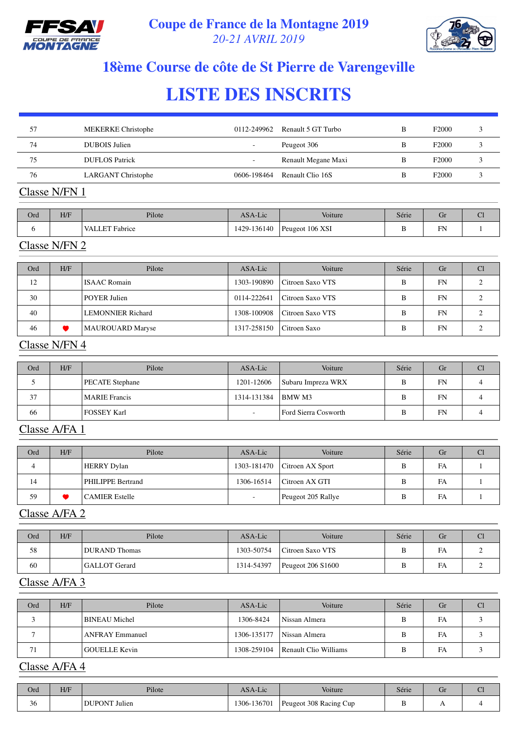



# **18ème Course de côte de St Pierre de Varengeville**

# **LISTE DES INSCRITS**

| 57 | <b>MEKERKE Christophe</b> | 0112-249962              | Renault 5 GT Turbo  | В | F2000             |  |
|----|---------------------------|--------------------------|---------------------|---|-------------------|--|
| 74 | DUBOIS Julien             | $\overline{\phantom{0}}$ | Peugeot 306         |   | F <sub>2000</sub> |  |
| 75 | DUFLOS Patrick            | $\overline{\phantom{a}}$ | Renault Megane Maxi | B | F <sub>2000</sub> |  |
| 76 | <b>LARGANT Christophe</b> | 0606-198464              | Renault Clio 16S    | В | F <sub>2000</sub> |  |
|    |                           |                          |                     |   |                   |  |

#### Classe N/FN 1

| Ord | H/F | Pilote         | ASA-Lic     | Voiture         | Série | GI |  |
|-----|-----|----------------|-------------|-----------------|-------|----|--|
|     |     | VALLET Fabrice | 1429-136140 | Peugeot 106 XSI |       | FN |  |

#### Classe N/FN 2

| Ord | H/F | Pilote                   | ASA-Lic     | Voiture          | Série | Gr | Cl |
|-----|-----|--------------------------|-------------|------------------|-------|----|----|
| 12  |     | <b>ISAAC</b> Romain      | 1303-190890 | Citroen Saxo VTS | B     | FN |    |
| 30  |     | <b>POYER Julien</b>      | 0114-222641 | Citroen Saxo VTS | B     | FN |    |
| 40  |     | <b>LEMONNIER Richard</b> | 1308-100908 | Citroen Saxo VTS | B     | FN |    |
| 46  |     | <b>MAUROUARD Maryse</b>  | 1317-258150 | Citroen Saxo     | B     | FN |    |

#### Classe N/FN 4

| Ord | H/F | Pilote                 | ASA-Lic                  | Voiture              | Série | Gr        | Cl |
|-----|-----|------------------------|--------------------------|----------------------|-------|-----------|----|
|     |     | <b>PECATE</b> Stephane | 1201-12606               | Subaru Impreza WRX   | B     | <b>FN</b> |    |
| 37  |     | <b>MARIE</b> Francis   | 1314-131384              | <b>BMW</b> M3        | B     | <b>FN</b> |    |
| 66  |     | <b>FOSSEY Karl</b>     | $\overline{\phantom{a}}$ | Ford Sierra Cosworth | B     | <b>FN</b> |    |

#### Classe A/FA 1

| Ord | H/F | Pilote                | ASA-Lic        | Voiture            | Série | Gr | <b>Cl</b> |
|-----|-----|-----------------------|----------------|--------------------|-------|----|-----------|
| 4   |     | <b>HERRY Dylan</b>    | 1303-181470    | Citroen AX Sport   | В     | FA |           |
| 14  |     | PHILIPPE Bertrand     | 1306-16514     | Citroen AX GTI     | B     | FA |           |
| 59  |     | <b>CAMIER Estelle</b> | $\overline{a}$ | Peugeot 205 Rallye | B     | FA |           |

## Classe A/FA 2

| Ord | H/F | Pilote               | ASA-Lic    | Voiture           | Série | Gr | u |
|-----|-----|----------------------|------------|-------------------|-------|----|---|
| 58  |     | <b>DURAND</b> Thomas | 1303-50754 | Citroen Saxo VTS  |       | FA |   |
| 60  |     | <b>GALLOT</b> Gerard | 1314-54397 | Peugeot 206 S1600 |       | FA |   |

#### Classe A/FA 3

| Ord | H/F | Pilote                 | ASA-Lic     | Voiture               | Série | Gr | Cl |
|-----|-----|------------------------|-------------|-----------------------|-------|----|----|
|     |     | <b>BINEAU</b> Michel   | 1306-8424   | Nissan Almera         | B     | FA |    |
|     |     | <b>ANFRAY Emmanuel</b> | 1306-135177 | Nissan Almera         | B     | FA |    |
| 71  |     | <b>GOUELLE Kevin</b>   | 1308-259104 | Renault Clio Williams | В     | FA |    |

### Classe A/FA 4

| Ord          | H/F | Pilote               | ASA-Lic            | Voiture                | Série | Gr | ັ |
|--------------|-----|----------------------|--------------------|------------------------|-------|----|---|
| $\sim$<br>30 |     | <b>DUPONT</b> Julien | $-13670$<br>$306-$ | Peugeot 308 Racing Cup |       |    |   |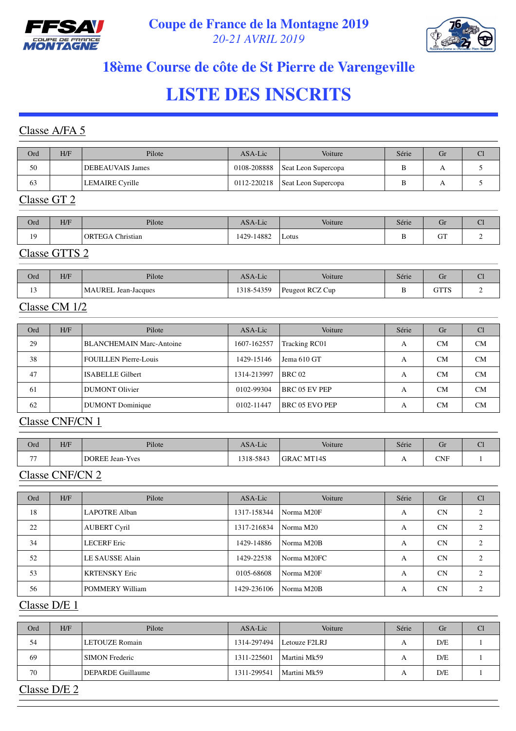



# **18ème Course de côte de St Pierre de Varengeville**

# **LISTE DES INSCRITS**

#### Classe A/FA 5

| Ord | H/F | Pilote                  | ASA-Lic     | Voiture             | Série | Gr | U |
|-----|-----|-------------------------|-------------|---------------------|-------|----|---|
| 50  |     | <b>DEBEAUVAIS James</b> | 0108-208888 | Seat Leon Supercopa |       |    |   |
| 63  |     | <b>LEMAIRE</b> Cyrille  | 0112-220218 | Seat Leon Supercopa |       |    |   |

### Classe GT 2

| Ord | H/F    | Pilote                     | ASA-Lic    | Voiture | Série | Gr                     | $\sim$ |
|-----|--------|----------------------------|------------|---------|-------|------------------------|--------|
| 19  |        | Christian<br><b>ORTEGA</b> | 1429-14882 | Lotus   | ╍     | $\sim$ mm $\sim$<br>UΙ |        |
| --- | ______ |                            |            |         |       |                        |        |

#### Classe GTTS 2

| Ord               | H/F | Pilote                     | ASA-Lic   | Voiture         | Série  | Üľ   | ິ |
|-------------------|-----|----------------------------|-----------|-----------------|--------|------|---|
| $\sim$<br>$\cdot$ |     | <b>MAUREL Jean-Jacques</b> | 318-54359 | Peugeot RCZ Cup | r<br>້ | GTTS |   |

#### Classe CM 1/2

| Ord | H/F | Pilote                          | ASA-Lic     | Voiture               | Série | Gr        | <b>Cl</b> |
|-----|-----|---------------------------------|-------------|-----------------------|-------|-----------|-----------|
| 29  |     | <b>BLANCHEMAIN Marc-Antoine</b> | 1607-162557 | Tracking RC01         | А     | <b>CM</b> | CM        |
| 38  |     | <b>FOUILLEN</b> Pierre-Louis    | 1429-15146  | Jema 610 GT           | А     | <b>CM</b> | CM        |
| 47  |     | <b>ISABELLE Gilbert</b>         | 1314-213997 | <b>BRC 02</b>         | А     | CM        | CM        |
| 61  |     | <b>DUMONT Olivier</b>           | 0102-99304  | <b>BRC 05 EV PEP</b>  | А     | <b>CM</b> | CM        |
| 62  |     | <b>DUMONT</b> Dominique         | 0102-11447  | <b>BRC 05 EVO PEP</b> | A     | <b>CM</b> | CM        |

#### Classe CNF/CN 1

| Ord   | H/F | Pilote                 | ASA-Lic   | Voiture           | Série | u            | $\sim$<br>ີ |
|-------|-----|------------------------|-----------|-------------------|-------|--------------|-------------|
| $- -$ |     | <b>DOREE Jean-Yves</b> | 1318-5843 | <b>GRAC MT14S</b> | . .   | $_{\rm CNF}$ |             |

## Classe CNF/CN 2

| Ord | H/F | Pilote                 | ASA-Lic     | Voiture     | Série | Gr        | Cl |
|-----|-----|------------------------|-------------|-------------|-------|-----------|----|
| 18  |     | LAPOTRE Alban          | 1317-158344 | Norma M20F  | A     | CN        |    |
| 22  |     | <b>AUBERT Cyril</b>    | 1317-216834 | Norma M20   | A     | <b>CN</b> |    |
| 34  |     | <b>LECERF</b> Eric     | 1429-14886  | Norma M20B  | A     | CN        |    |
| 52  |     | LE SAUSSE Alain        | 1429-22538  | Norma M20FC | A     | CN        |    |
| 53  |     | <b>KRTENSKY Eric</b>   | 0105-68608  | Norma M20F  | А     | CN        |    |
| 56  |     | <b>POMMERY William</b> | 1429-236106 | Norma M20B  | A     | CN        |    |

#### Classe D/E 1

| Ord | H/F          | Pilote                | ASA-Lic     | Voiture       | Série | Gr  | Cl |  |  |  |  |
|-----|--------------|-----------------------|-------------|---------------|-------|-----|----|--|--|--|--|
| 54  |              | LETOUZE Romain        | 1314-297494 | Letouze F2LRJ | A     | D/E |    |  |  |  |  |
| 69  |              | <b>SIMON</b> Frederic | 1311-225601 | Martini Mk59  | А     | D/E |    |  |  |  |  |
| 70  |              | DEPARDE Guillaume     | 1311-299541 | Martini Mk59  | А     | D/E |    |  |  |  |  |
|     | Classe D/E 2 |                       |             |               |       |     |    |  |  |  |  |